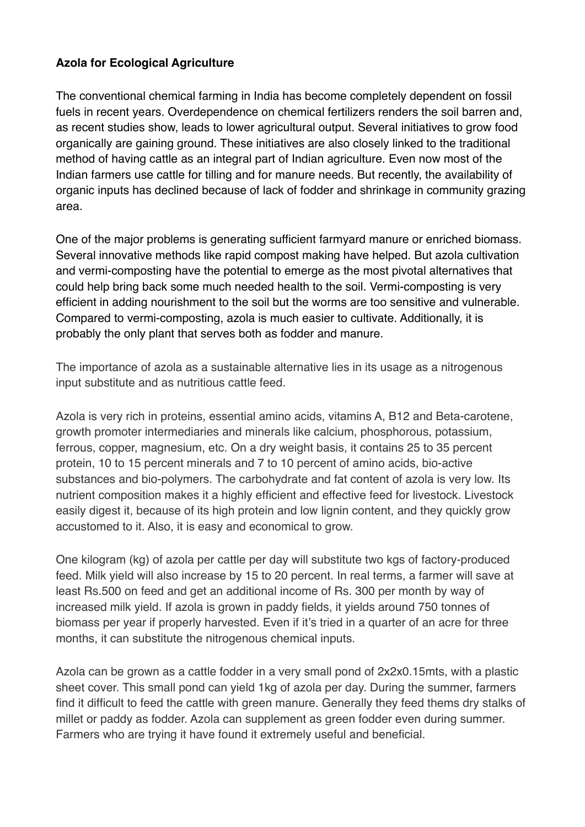## **Azola for Ecological Agriculture**

The conventional chemical farming in India has become completely dependent on fossil fuels in recent years. Overdependence on chemical fertilizers renders the soil barren and, as recent studies show, leads to lower agricultural output. Several initiatives to grow food organically are gaining ground. These initiatives are also closely linked to the traditional method of having cattle as an integral part of Indian agriculture. Even now most of the Indian farmers use cattle for tilling and for manure needs. But recently, the availability of organic inputs has declined because of lack of fodder and shrinkage in community grazing area.

One of the major problems is generating sufficient farmyard manure or enriched biomass. Several innovative methods like rapid compost making have helped. But azola cultivation and vermi-composting have the potential to emerge as the most pivotal alternatives that could help bring back some much needed health to the soil. Vermi-composting is very efficient in adding nourishment to the soil but the worms are too sensitive and vulnerable. Compared to vermi-composting, azola is much easier to cultivate. Additionally, it is probably the only plant that serves both as fodder and manure.

The importance of azola as a sustainable alternative lies in its usage as a nitrogenous input substitute and as nutritious cattle feed.

Azola is very rich in proteins, essential amino acids, vitamins A, B12 and Beta-carotene, growth promoter intermediaries and minerals like calcium, phosphorous, potassium, ferrous, copper, magnesium, etc. On a dry weight basis, it contains 25 to 35 percent protein, 10 to 15 percent minerals and 7 to 10 percent of amino acids, bio-active substances and bio-polymers. The carbohydrate and fat content of azola is very low. Its nutrient composition makes it a highly efficient and effective feed for livestock. Livestock easily digest it, because of its high protein and low lignin content, and they quickly grow accustomed to it. Also, it is easy and economical to grow.

One kilogram (kg) of azola per cattle per day will substitute two kgs of factory-produced feed. Milk yield will also increase by 15 to 20 percent. In real terms, a farmer will save at least Rs.500 on feed and get an additional income of Rs. 300 per month by way of increased milk yield. If azola is grown in paddy fields, it yields around 750 tonnes of biomass per year if properly harvested. Even if it's tried in a quarter of an acre for three months, it can substitute the nitrogenous chemical inputs.

Azola can be grown as a cattle fodder in a very small pond of 2x2x0.15mts, with a plastic sheet cover. This small pond can yield 1kg of azola per day. During the summer, farmers find it difficult to feed the cattle with green manure. Generally they feed thems dry stalks of millet or paddy as fodder. Azola can supplement as green fodder even during summer. Farmers who are trying it have found it extremely useful and beneficial.